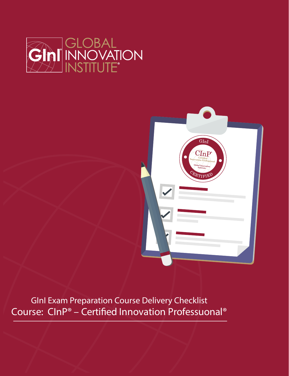



GInI Exam Preparation Course Delivery Checklist Course: CInP® - Certified Innovation Professuonal®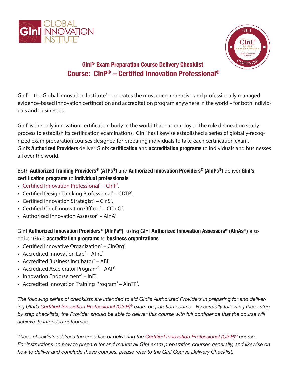



# **GInI® Exam Preparation Course Delivery Checklist Course: CInP® – Certified Innovation Professional®**

GInI<sup>®</sup> – the Global Innovation Institute<sup>®</sup> – operates the most comprehensive and professionally managed evidence-based innovation certification and accreditation program anywhere in the world – for both individuals and businesses.

GInI<sup>®</sup> is the only innovation certification body in the world that has employed the role delineation study process to establish its certification examinations. GInI<sup>®</sup> has likewise established a series of globally-recognized exam preparation courses designed for preparing individuals to take each certification exam. GInI's **Authorized Providers** deliver GInI's **certification** and **accreditation programs** to individuals and businesses all over the world.

### Both **Authorized Training Providers® (ATPs®)** and **Authorized Innovation Providers® (AInPs®)** deliver **GInI's certification programs** to **individual professionals**:

- Certified Innovation Professional<sup>®</sup> ClnP<sup>®</sup>.
- Certified Design Thinking Professional<sup>®</sup> CDTP<sup>®</sup>.
- Certified Innovation Strategist® ClnS®.
- Certified Chief Innovation Officer® CCInO®.
- Authorized innovation Assessor® AlnA®.

GInI **Authorized Innovation Providers® (AInPs®)**, using GInI **Authorized Innovation Assessors® (AInAs®)** also deliver GInI's **accreditation programs** to **business organizations**:

- Certified Innovative Organization® CInOrg®.
- Accredited Innovation Lab® AInL®.
- Accredited Business Incubator® ABI®.
- Accredited Accelerator Program<sup>®</sup> AAP<sup>®</sup>.
- Innovation Endorsement® InE®.
- Accredited Innovation Training Program<sup>®</sup> AInTP<sup>®</sup>.

*The following series of checklists are intended to aid GInI's Authorized Providers in preparing for and delivering GInI's Certified Innovation Professional (CInP)® exam preparation course. By carefully following these step*  by step checklists, the Provider should be able to deliver this course with full confidence that the course will *achieve its intended outcomes.*

*These checklists address the specifics of delivering the Certified Innovation Professional (CInP)® course. For instructions on how to prepare for and market all GInI exam preparation courses generally, and likewise on how to deliver and conclude these courses, please refer to the GInI Course Delivery Checklist.*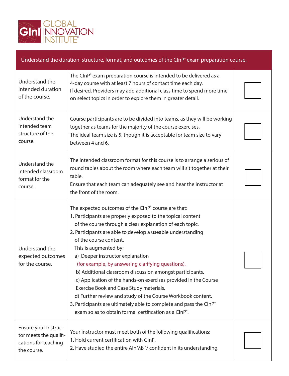

#### Understand the duration, structure, format, and outcomes of the CInP<sup>®</sup> exam preparation course.

| Understand the<br>intended duration<br>of the course.                                 | The CInP <sup>®</sup> exam preparation course is intended to be delivered as a<br>4-day course with at least 7 hours of contact time each day.<br>If desired, Providers may add additional class time to spend more time<br>on select topics in order to explore them in greater detail.                                                                                                                                                                                                                                                                                                                                                                                                                                                                                                   |  |
|---------------------------------------------------------------------------------------|--------------------------------------------------------------------------------------------------------------------------------------------------------------------------------------------------------------------------------------------------------------------------------------------------------------------------------------------------------------------------------------------------------------------------------------------------------------------------------------------------------------------------------------------------------------------------------------------------------------------------------------------------------------------------------------------------------------------------------------------------------------------------------------------|--|
| Understand the<br>intended team<br>structure of the<br>course.                        | Course participants are to be divided into teams, as they will be working<br>together as teams for the majority of the course exercises.<br>The ideal team size is 5, though it is acceptable for team size to vary<br>between 4 and 6.                                                                                                                                                                                                                                                                                                                                                                                                                                                                                                                                                    |  |
| Understand the<br>intended classroom<br>format for the<br>course.                     | The intended classroom format for this course is to arrange a serious of<br>round tables about the room where each team will sit together at their<br>table.<br>Ensure that each team can adequately see and hear the instructor at<br>the front of the room.                                                                                                                                                                                                                                                                                                                                                                                                                                                                                                                              |  |
| Understand the<br>expected outcomes<br>for the course.                                | The expected outcomes of the CInP° course are that:<br>1. Participants are properly exposed to the topical content<br>of the course through a clear explanation of each topic.<br>2. Participants are able to develop a useable understanding<br>of the course content.<br>This is augmented by:<br>a) Deeper instructor explanation<br>(for example, by answering clarifying questions).<br>b) Additional classroom discussion amongst participants.<br>c) Application of the hands-on exercises provided in the Course<br>Exercise Book and Case Study materials.<br>d) Further review and study of the Course Workbook content.<br>3. Participants are ultimately able to complete and pass the ClnP <sup>®</sup><br>exam so as to obtain formal certification as a CInP <sup>®</sup> . |  |
| Ensure your Instruc-<br>tor meets the qualifi-<br>cations for teaching<br>the course. | Your instructor must meet both of the following qualifications:<br>1. Hold current certification with Glnl <sup>®</sup> .<br>2. Have studied the entire AInMB °/ confident in its understanding.                                                                                                                                                                                                                                                                                                                                                                                                                                                                                                                                                                                           |  |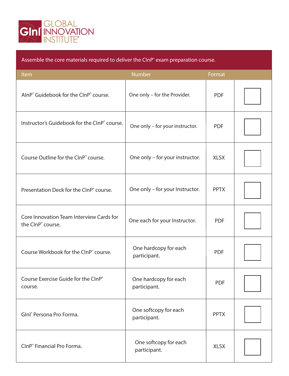

| Assemble the core materials required to deliver the CInP <sup>®</sup> exam preparation course. |                                       |             |  |
|------------------------------------------------------------------------------------------------|---------------------------------------|-------------|--|
| Item                                                                                           | <b>Number</b>                         | Format      |  |
| AlnP° Guidebook for the ClnP° course.                                                          | One only - for the Provider.          | <b>PDF</b>  |  |
| Instructor's Guidebook for the CInP° course.                                                   | One only - for your instructor.       | <b>PDF</b>  |  |
| Course Outline for the CInP° course.                                                           | One only - for your instructor.       | <b>XLSX</b> |  |
| Presentation Deck for the CInP° course.                                                        | One only - for your Instructor.       | <b>PPTX</b> |  |
| Core Innovation Team Interview Cards for<br>the ClnP° course.                                  | One each for your Instructor.         | <b>PDF</b>  |  |
| Course Workbook for the CInP <sup>®</sup> course.                                              | One hardcopy for each<br>participant. | <b>PDF</b>  |  |
| Course Exercise Guide for the CInP®<br>course.                                                 | One hardcopy for each<br>participant. | <b>PDF</b>  |  |
| Glnl <sup>®</sup> Persona Pro Forma.                                                           | One softcopy for each<br>participant. | <b>PPTX</b> |  |
| CInP <sup>®</sup> Financial Pro Forma.                                                         | One softcopy for each<br>participant. | <b>XLSX</b> |  |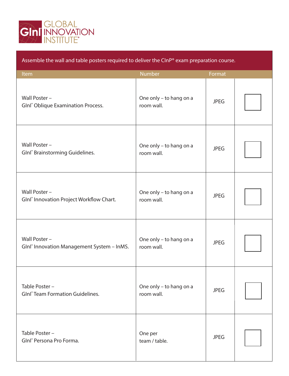

### Assemble the wall and table posters required to deliver the CInP® exam preparation course.

| Item                                                                    | Number                                | Format      |  |
|-------------------------------------------------------------------------|---------------------------------------|-------------|--|
| Wall Poster -<br>Glnl <sup>®</sup> Oblique Examination Process.         | One only - to hang on a<br>room wall. | <b>JPEG</b> |  |
| Wall Poster -<br>GInl <sup>®</sup> Brainstorming Guidelines.            | One only - to hang on a<br>room wall. | <b>JPEG</b> |  |
| Wall Poster -<br>Glnl <sup>®</sup> Innovation Project Workflow Chart.   | One only - to hang on a<br>room wall. | <b>JPEG</b> |  |
| Wall Poster -<br>Glnl <sup>®</sup> Innovation Management System - InMS. | One only - to hang on a<br>room wall. | <b>JPEG</b> |  |
| Table Poster -<br><b>GInl<sup>®</sup> Team Formation Guidelines.</b>    | One only - to hang on a<br>room wall. | <b>JPEG</b> |  |
| Table Poster -<br>Glnl <sup>®</sup> Persona Pro Forma.                  | One per<br>team / table.              | <b>JPEG</b> |  |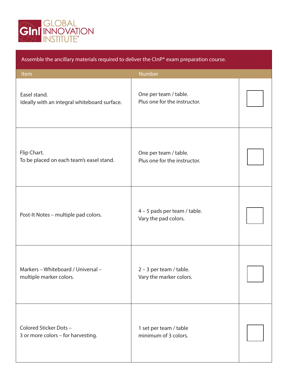

| Assemble the ancillary materials required to deliver the CInP® exam preparation course. |                                                       |  |  |
|-----------------------------------------------------------------------------------------|-------------------------------------------------------|--|--|
| Item                                                                                    | Number                                                |  |  |
| Easel stand.<br>Ideally with an integral whiteboard surface.                            | One per team / table.<br>Plus one for the instructor. |  |  |
| Flip Chart.<br>To be placed on each team's easel stand.                                 | One per team / table.<br>Plus one for the instructor. |  |  |
| Post-It Notes - multiple pad colors.                                                    | 4 - 5 pads per team / table.<br>Vary the pad colors.  |  |  |
| Markers - Whiteboard / Universal -<br>multiple marker colors.                           | 2 - 3 per team / table.<br>Vary the marker colors.    |  |  |
| Colored Sticker Dots-<br>3 or more colors - for harvesting.                             | 1 set per team / table<br>minimum of 3 colors.        |  |  |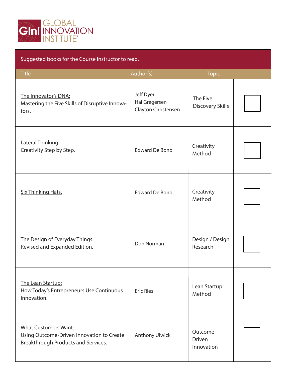

## Suggested books for the Course Instructor to read.

| <b>Title</b>                                                                                                    | Author(s)                                         | <b>Topic</b>                            |  |
|-----------------------------------------------------------------------------------------------------------------|---------------------------------------------------|-----------------------------------------|--|
| The Innovator's DNA:<br>Mastering the Five Skills of Disruptive Innova-<br>tors.                                | Jeff Dyer<br>Hal Gregersen<br>Clayton Christensen | The Five<br>Discovery Skills            |  |
| Lateral Thinking:<br>Creativity Step by Step.                                                                   | <b>Edward De Bono</b>                             | Creativity<br>Method                    |  |
| <b>Six Thinking Hats.</b>                                                                                       | <b>Edward De Bono</b>                             | Creativity<br>Method                    |  |
| The Design of Everyday Things:<br>Revised and Expanded Edition.                                                 | Don Norman                                        | Design / Design<br>Research             |  |
| The Lean Startup:<br>How Today's Entrepreneurs Use Continuous<br>Innovation.                                    | <b>Eric Ries</b>                                  | Lean Startup<br>Method                  |  |
| <b>What Customers Want:</b><br>Using Outcome-Driven Innovation to Create<br>Breakthrough Products and Services. | <b>Anthony Ulwick</b>                             | Outcome-<br><b>Driven</b><br>Innovation |  |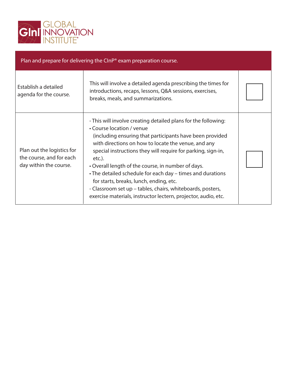

| Plan and prepare for delivering the $C_{\text{LP}}^{\circ}$ exam preparation course. |                                                                                                                                                                                                                                                                                                                                                                                                                                                                                                                                                                                            |  |  |
|--------------------------------------------------------------------------------------|--------------------------------------------------------------------------------------------------------------------------------------------------------------------------------------------------------------------------------------------------------------------------------------------------------------------------------------------------------------------------------------------------------------------------------------------------------------------------------------------------------------------------------------------------------------------------------------------|--|--|
| Establish a detailed<br>agenda for the course.                                       | This will involve a detailed agenda prescribing the times for<br>introductions, recaps, lessons, Q&A sessions, exercises,<br>breaks, meals, and summarizations.                                                                                                                                                                                                                                                                                                                                                                                                                            |  |  |
| Plan out the logistics for<br>the course, and for each<br>day within the course.     | - This will involve creating detailed plans for the following:<br>• Course location / venue<br>(including ensuring that participants have been provided<br>with directions on how to locate the venue, and any<br>special instructions they will require for parking, sign-in,<br>$etc.$ ).<br>• Overall length of the course, in number of days.<br>• The detailed schedule for each day – times and durations<br>for starts, breaks, lunch, ending, etc.<br>- Classroom set up - tables, chairs, whiteboards, posters,<br>exercise materials, instructor lectern, projector, audio, etc. |  |  |